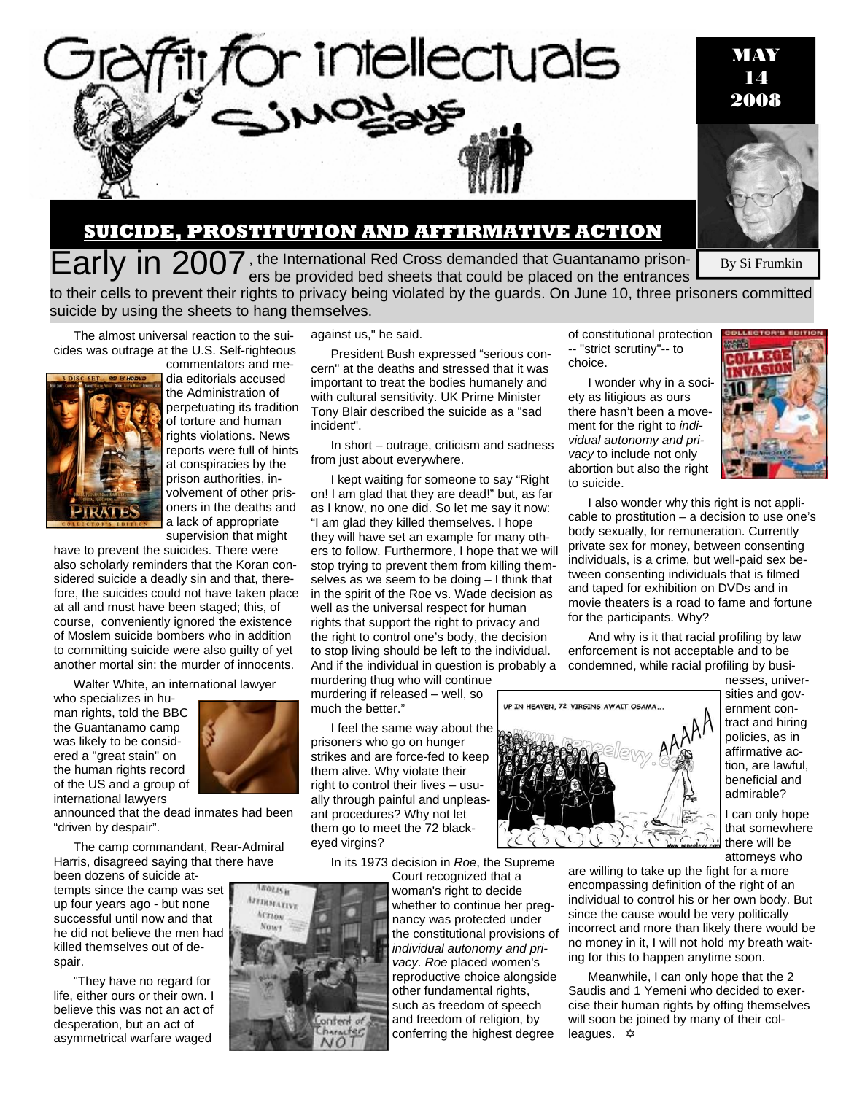

## **SUICIDE, PROSTITUTION AND AFFIRMATIVE ACTION**

By Si Frumkin Early in 2007, the International Red Cross demanded that Guantanamo prisoners be provided bed sheets that could be placed on the entrances

to their cells to prevent their rights to privacy being violated by the guards. On June 10, three prisoners committed suicide by using the sheets to hang themselves.

The almost universal reaction to the suicides was outrage at the U.S. Self-righteous



commentators and media editorials accused the Administration of perpetuating its tradition of torture and human rights violations. News reports were full of hints at conspiracies by the prison authorities, involvement of other prisoners in the deaths and a lack of appropriate supervision that might

have to prevent the suicides. There were also scholarly reminders that the Koran considered suicide a deadly sin and that, therefore, the suicides could not have taken place at all and must have been staged; this, of course, conveniently ignored the existence of Moslem suicide bombers who in addition to committing suicide were also guilty of yet another mortal sin: the murder of innocents.

Walter White, an international lawyer

who specializes in human rights, told the BBC the Guantanamo camp was likely to be considered a "great stain" on the human rights record of the US and a group of international lawyers



rastič H AFFIRMATIVE Acraox

onten

announced that the dead inmates had been "driven by despair".

The camp commandant, Rear-Admiral Harris, disagreed saying that there have

been dozens of suicide attempts since the camp was set up four years ago - but none successful until now and that he did not believe the men had killed themselves out of despair.

"They have no regard for life, either ours or their own. I believe this was not an act of desperation, but an act of asymmetrical warfare waged

against us," he said.

President Bush expressed "serious concern" at the deaths and stressed that it was important to treat the bodies humanely and with cultural sensitivity. UK Prime Minister Tony Blair described the suicide as a "sad incident".

In short – outrage, criticism and sadness from just about everywhere.

I kept waiting for someone to say "Right on! I am glad that they are dead!" but, as far as I know, no one did. So let me say it now: "I am glad they killed themselves. I hope they will have set an example for many others to follow. Furthermore, I hope that we will stop trying to prevent them from killing themselves as we seem to be doing – I think that in the spirit of the Roe vs. Wade decision as well as the universal respect for human rights that support the right to privacy and the right to control one's body, the decision to stop living should be left to the individual. And if the individual in question is probably a murdering thug who will continue

murdering if released – well, so much the better."

I feel the same way about the prisoners who go on hunger strikes and are force-fed to keep them alive. Why violate their right to control their lives – usually through painful and unpleasant procedures? Why not let them go to meet the 72 blackeyed virgins?

In its 1973 decision in *Roe*, the Supreme

woman's right to decide whether to continue her pregnancy was protected under the constitutional provisions of *individual autonomy and privacy*. *Roe* placed women's reproductive choice alongside other fundamental rights, such as freedom of speech and freedom of religion, by conferring the highest degree

of constitutional protection -- "strict scrutiny"-- to choice.

I wonder why in a society as litigious as ours there hasn't been a movement for the right to *individual autonomy and privacy* to include not only abortion but also the right to suicide.



I also wonder why this right is not applicable to prostitution – a decision to use one's body sexually, for remuneration. Currently private sex for money, between consenting individuals, is a crime, but well-paid sex between consenting individuals that is filmed and taped for exhibition on DVDs and in movie theaters is a road to fame and fortune for the participants. Why?

And why is it that racial profiling by law enforcement is not acceptable and to be condemned, while racial profiling by busi-



nesses, universities and government contract and hiring policies, as in affirmative action, are lawful, beneficial and admirable?

I can only hope that somewhere there will be attorneys who

are willing to take up the fight for a more encompassing definition of the right of an individual to control his or her own body. But since the cause would be very politically incorrect and more than likely there would be no money in it, I will not hold my breath waiting for this to happen anytime soon.

Meanwhile, I can only hope that the 2 Saudis and 1 Yemeni who decided to exercise their human rights by offing themselves will soon be joined by many of their colleagues.  $\triangle$ 

Court recognized that a



MAY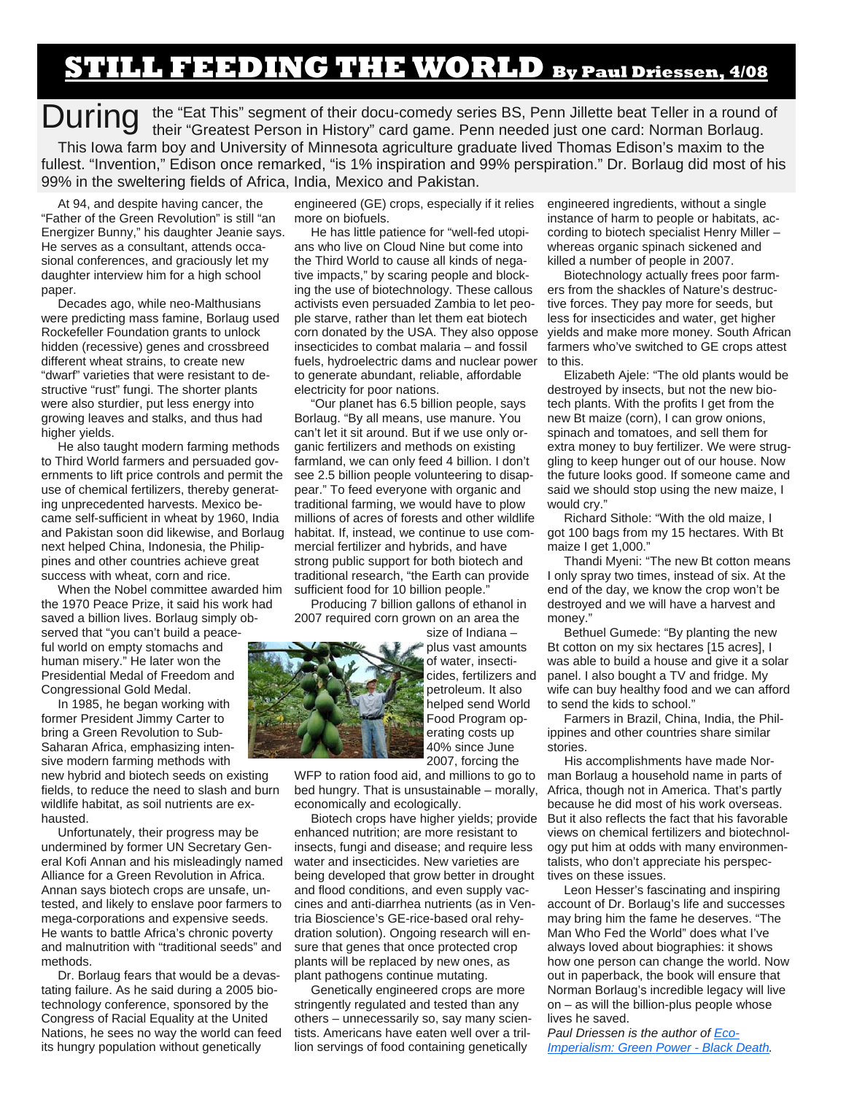## **STILL FEEDING THE WORLD By Paul Driessen, 4/08**

**During** the "Eat This" segment of their docu-comedy series BS, Penn Jillette beat Teller in a round of their "Greatest Person in History" card game. Penn needed just one card: Norman Borlaug their "Greatest Person in History" card game. Penn needed just one card: Norman Borlaug. This Iowa farm boy and University of Minnesota agriculture graduate lived Thomas Edison's maxim to the fullest. "Invention," Edison once remarked, "is 1% inspiration and 99% perspiration." Dr. Borlaug did most of his 99% in the sweltering fields of Africa, India, Mexico and Pakistan.

At 94, and despite having cancer, the "Father of the Green Revolution" is still "an Energizer Bunny," his daughter Jeanie says. He serves as a consultant, attends occasional conferences, and graciously let my daughter interview him for a high school paper.

Decades ago, while neo-Malthusians were predicting mass famine, Borlaug used Rockefeller Foundation grants to unlock hidden (recessive) genes and crossbreed different wheat strains, to create new "dwarf" varieties that were resistant to destructive "rust" fungi. The shorter plants were also sturdier, put less energy into growing leaves and stalks, and thus had higher yields.

He also taught modern farming methods to Third World farmers and persuaded governments to lift price controls and permit the use of chemical fertilizers, thereby generating unprecedented harvests. Mexico became self-sufficient in wheat by 1960, India and Pakistan soon did likewise, and Borlaug next helped China, Indonesia, the Philippines and other countries achieve great success with wheat, corn and rice.

When the Nobel committee awarded him the 1970 Peace Prize, it said his work had saved a billion lives. Borlaug simply observed that "you can't build a peaceful world on empty stomachs and human misery." He later won the Presidential Medal of Freedom and Congressional Gold Medal.

In 1985, he began working with former President Jimmy Carter to bring a Green Revolution to Sub-Saharan Africa, emphasizing intensive modern farming methods with new hybrid and biotech seeds on existing

fields, to reduce the need to slash and burn wildlife habitat, as soil nutrients are exhausted.

Unfortunately, their progress may be undermined by former UN Secretary General Kofi Annan and his misleadingly named Alliance for a Green Revolution in Africa. Annan says biotech crops are unsafe, untested, and likely to enslave poor farmers to mega-corporations and expensive seeds. He wants to battle Africa's chronic poverty and malnutrition with "traditional seeds" and methods.

Dr. Borlaug fears that would be a devastating failure. As he said during a 2005 biotechnology conference, sponsored by the Congress of Racial Equality at the United Nations, he sees no way the world can feed its hungry population without genetically

engineered (GE) crops, especially if it relies more on biofuels.

He has little patience for "well-fed utopians who live on Cloud Nine but come into the Third World to cause all kinds of negative impacts," by scaring people and blocking the use of biotechnology. These callous activists even persuaded Zambia to let people starve, rather than let them eat biotech corn donated by the USA. They also oppose insecticides to combat malaria – and fossil fuels, hydroelectric dams and nuclear power to generate abundant, reliable, affordable electricity for poor nations.

"Our planet has 6.5 billion people, says Borlaug. "By all means, use manure. You can't let it sit around. But if we use only organic fertilizers and methods on existing farmland, we can only feed 4 billion. I don't see 2.5 billion people volunteering to disappear." To feed everyone with organic and traditional farming, we would have to plow millions of acres of forests and other wildlife habitat. If, instead, we continue to use commercial fertilizer and hybrids, and have strong public support for both biotech and traditional research, "the Earth can provide sufficient food for 10 billion people."

Producing 7 billion gallons of ethanol in 2007 required corn grown on an area the



size of Indiana – plus vast amounts of water, insecticides, fertilizers and petroleum. It also helped send World Food Program operating costs up 40% since June 2007, forcing the

WFP to ration food aid, and millions to go to bed hungry. That is unsustainable – morally, economically and ecologically.

Biotech crops have higher yields; provide enhanced nutrition; are more resistant to insects, fungi and disease; and require less water and insecticides. New varieties are being developed that grow better in drought and flood conditions, and even supply vaccines and anti-diarrhea nutrients (as in Ventria Bioscience's GE-rice-based oral rehydration solution). Ongoing research will ensure that genes that once protected crop plants will be replaced by new ones, as plant pathogens continue mutating.

Genetically engineered crops are more stringently regulated and tested than any others – unnecessarily so, say many scientists. Americans have eaten well over a trillion servings of food containing genetically

engineered ingredients, without a single instance of harm to people or habitats, according to biotech specialist Henry Miller – whereas organic spinach sickened and killed a number of people in 2007.

Biotechnology actually frees poor farmers from the shackles of Nature's destructive forces. They pay more for seeds, but less for insecticides and water, get higher yields and make more money. South African farmers who've switched to GE crops attest to this.

Elizabeth Ajele: "The old plants would be destroyed by insects, but not the new biotech plants. With the profits I get from the new Bt maize (corn), I can grow onions, spinach and tomatoes, and sell them for extra money to buy fertilizer. We were struggling to keep hunger out of our house. Now the future looks good. If someone came and said we should stop using the new maize, I would cry."

Richard Sithole: "With the old maize, I got 100 bags from my 15 hectares. With Bt maize I get 1,000."

Thandi Myeni: "The new Bt cotton means I only spray two times, instead of six. At the end of the day, we know the crop won't be destroyed and we will have a harvest and money."

Bethuel Gumede: "By planting the new Bt cotton on my six hectares [15 acres], I was able to build a house and give it a solar panel. I also bought a TV and fridge. My wife can buy healthy food and we can afford to send the kids to school."

Farmers in Brazil, China, India, the Philippines and other countries share similar stories.

His accomplishments have made Norman Borlaug a household name in parts of Africa, though not in America. That's partly because he did most of his work overseas. But it also reflects the fact that his favorable views on chemical fertilizers and biotechnology put him at odds with many environmentalists, who don't appreciate his perspectives on these issues.

Leon Hesser's fascinating and inspiring account of Dr. Borlaug's life and successes may bring him the fame he deserves. "The Man Who Fed the World" does what I've always loved about biographies: it shows how one person can change the world. Now out in paperback, the book will ensure that Norman Borlaug's incredible legacy will live on – as will the billion-plus people whose lives he saved.

*Paul Driessen is the author of Eco-Imperialism: Green Power - Black Death.*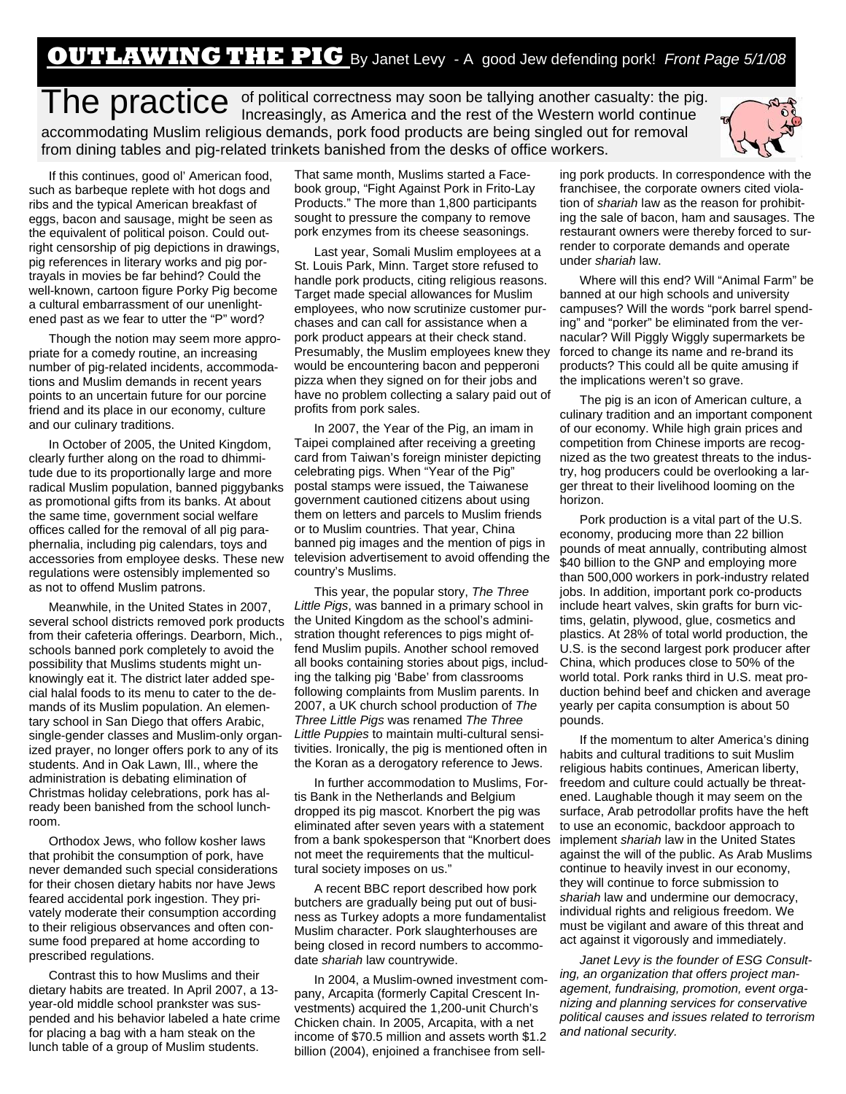## **OUTLAWING THE PIG** By Janet Levy - A good Jew defending pork! *Front Page 5/1/08*

The practice of political correctness may soon be tallying another casualty: the pig.<br>Increasingly, as America and the rest of the Western world continue accommodating Muslim religious demands, pork food products are being singled out for removal from dining tables and pig-related trinkets banished from the desks of office workers.

If this continues, good ol' American food, such as barbeque replete with hot dogs and ribs and the typical American breakfast of eggs, bacon and sausage, might be seen as the equivalent of political poison. Could outright censorship of pig depictions in drawings, pig references in literary works and pig portrayals in movies be far behind? Could the well-known, cartoon figure Porky Pig become a cultural embarrassment of our unenlightened past as we fear to utter the "P" word?

Though the notion may seem more appropriate for a comedy routine, an increasing number of pig-related incidents, accommodations and Muslim demands in recent years points to an uncertain future for our porcine friend and its place in our economy, culture and our culinary traditions.

In October of 2005, the United Kingdom, clearly further along on the road to dhimmitude due to its proportionally large and more radical Muslim population, banned piggybanks as promotional gifts from its banks. At about the same time, government social welfare offices called for the removal of all pig paraphernalia, including pig calendars, toys and accessories from employee desks. These new regulations were ostensibly implemented so as not to offend Muslim patrons.

Meanwhile, in the United States in 2007, several school districts removed pork products from their cafeteria offerings. Dearborn, Mich., schools banned pork completely to avoid the possibility that Muslims students might unknowingly eat it. The district later added special halal foods to its menu to cater to the demands of its Muslim population. An elementary school in San Diego that offers Arabic, single-gender classes and Muslim-only organized prayer, no longer offers pork to any of its students. And in Oak Lawn, Ill., where the administration is debating elimination of Christmas holiday celebrations, pork has already been banished from the school lunchroom.

Orthodox Jews, who follow kosher laws that prohibit the consumption of pork, have never demanded such special considerations for their chosen dietary habits nor have Jews feared accidental pork ingestion. They privately moderate their consumption according to their religious observances and often consume food prepared at home according to prescribed regulations.

Contrast this to how Muslims and their dietary habits are treated. In April 2007, a 13 year-old middle school prankster was suspended and his behavior labeled a hate crime for placing a bag with a ham steak on the lunch table of a group of Muslim students.

That same month, Muslims started a Facebook group, "Fight Against Pork in Frito-Lay Products." The more than 1,800 participants sought to pressure the company to remove pork enzymes from its cheese seasonings.

Last year, Somali Muslim employees at a St. Louis Park, Minn. Target store refused to handle pork products, citing religious reasons. Target made special allowances for Muslim employees, who now scrutinize customer purchases and can call for assistance when a pork product appears at their check stand. Presumably, the Muslim employees knew they would be encountering bacon and pepperoni pizza when they signed on for their jobs and have no problem collecting a salary paid out of profits from pork sales.

In 2007, the Year of the Pig, an imam in Taipei complained after receiving a greeting card from Taiwan's foreign minister depicting celebrating pigs. When "Year of the Pig" postal stamps were issued, the Taiwanese government cautioned citizens about using them on letters and parcels to Muslim friends or to Muslim countries. That year, China banned pig images and the mention of pigs in television advertisement to avoid offending the country's Muslims.

This year, the popular story, *The Three Little Pigs*, was banned in a primary school in the United Kingdom as the school's administration thought references to pigs might offend Muslim pupils. Another school removed all books containing stories about pigs, including the talking pig 'Babe' from classrooms following complaints from Muslim parents. In 2007, a UK church school production of *The Three Little Pigs* was renamed *The Three Little Puppies* to maintain multi-cultural sensitivities. Ironically, the pig is mentioned often in the Koran as a derogatory reference to Jews.

In further accommodation to Muslims, Fortis Bank in the Netherlands and Belgium dropped its pig mascot. Knorbert the pig was eliminated after seven years with a statement from a bank spokesperson that "Knorbert does not meet the requirements that the multicultural society imposes on us."

A recent BBC report described how pork butchers are gradually being put out of business as Turkey adopts a more fundamentalist Muslim character. Pork slaughterhouses are being closed in record numbers to accommodate *shariah* law countrywide.

In 2004, a Muslim-owned investment company, Arcapita (formerly Capital Crescent Investments) acquired the 1,200-unit Church's Chicken chain. In 2005, Arcapita, with a net income of \$70.5 million and assets worth \$1.2 billion (2004), enjoined a franchisee from sell-

ing pork products. In correspondence with the franchisee, the corporate owners cited violation of *shariah* law as the reason for prohibiting the sale of bacon, ham and sausages. The restaurant owners were thereby forced to surrender to corporate demands and operate under *shariah* law.

Where will this end? Will "Animal Farm" be banned at our high schools and university campuses? Will the words "pork barrel spending" and "porker" be eliminated from the vernacular? Will Piggly Wiggly supermarkets be forced to change its name and re-brand its products? This could all be quite amusing if the implications weren't so grave.

The pig is an icon of American culture, a culinary tradition and an important component of our economy. While high grain prices and competition from Chinese imports are recognized as the two greatest threats to the industry, hog producers could be overlooking a larger threat to their livelihood looming on the horizon.

Pork production is a vital part of the U.S. economy, producing more than 22 billion pounds of meat annually, contributing almost \$40 billion to the GNP and employing more than 500,000 workers in pork-industry related jobs. In addition, important pork co-products include heart valves, skin grafts for burn victims, gelatin, plywood, glue, cosmetics and plastics. At 28% of total world production, the U.S. is the second largest pork producer after China, which produces close to 50% of the world total. Pork ranks third in U.S. meat production behind beef and chicken and average yearly per capita consumption is about 50 pounds.

If the momentum to alter America's dining habits and cultural traditions to suit Muslim religious habits continues, American liberty, freedom and culture could actually be threatened. Laughable though it may seem on the surface, Arab petrodollar profits have the heft to use an economic, backdoor approach to implement *shariah* law in the United States against the will of the public. As Arab Muslims continue to heavily invest in our economy, they will continue to force submission to *shariah* law and undermine our democracy, individual rights and religious freedom. We must be vigilant and aware of this threat and act against it vigorously and immediately.

*Janet Levy is the founder of ESG Consulting, an organization that offers project management, fundraising, promotion, event organizing and planning services for conservative political causes and issues related to terrorism and national security.*